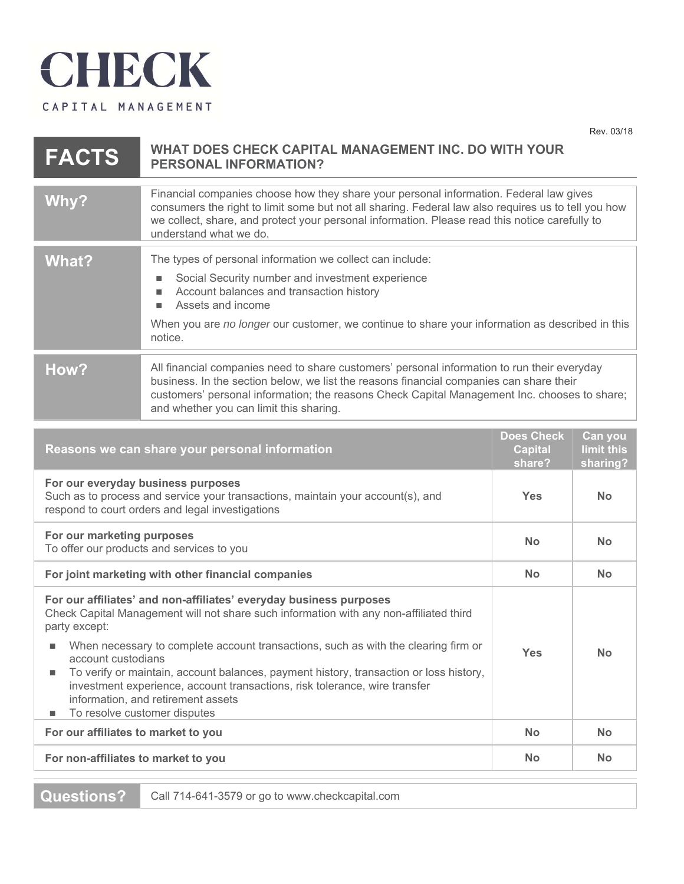

 $8.0118$ 

| <b>FACTS</b>                                                                                                                                                                                                                                                                                                                                                                                                                                                                                                                                               | Rev. 03/18<br>WHAT DOES CHECK CAPITAL MANAGEMENT INC. DO WITH YOUR<br><b>PERSONAL INFORMATION?</b>                                                                                                                                                                                                                                |                                               |                                   |  |
|------------------------------------------------------------------------------------------------------------------------------------------------------------------------------------------------------------------------------------------------------------------------------------------------------------------------------------------------------------------------------------------------------------------------------------------------------------------------------------------------------------------------------------------------------------|-----------------------------------------------------------------------------------------------------------------------------------------------------------------------------------------------------------------------------------------------------------------------------------------------------------------------------------|-----------------------------------------------|-----------------------------------|--|
| Why?                                                                                                                                                                                                                                                                                                                                                                                                                                                                                                                                                       | Financial companies choose how they share your personal information. Federal law gives<br>consumers the right to limit some but not all sharing. Federal law also requires us to tell you how<br>we collect, share, and protect your personal information. Please read this notice carefully to<br>understand what we do.         |                                               |                                   |  |
| <b>What?</b>                                                                                                                                                                                                                                                                                                                                                                                                                                                                                                                                               | The types of personal information we collect can include:<br>Social Security number and investment experience<br>Account balances and transaction history<br>Assets and income<br>п<br>When you are no longer our customer, we continue to share your information as described in this<br>notice.                                 |                                               |                                   |  |
| How?                                                                                                                                                                                                                                                                                                                                                                                                                                                                                                                                                       | All financial companies need to share customers' personal information to run their everyday<br>business. In the section below, we list the reasons financial companies can share their<br>customers' personal information; the reasons Check Capital Management Inc. chooses to share;<br>and whether you can limit this sharing. |                                               |                                   |  |
| Reasons we can share your personal information                                                                                                                                                                                                                                                                                                                                                                                                                                                                                                             |                                                                                                                                                                                                                                                                                                                                   | <b>Does Check</b><br><b>Capital</b><br>share? | Can you<br>limit this<br>sharing? |  |
| For our everyday business purposes<br>Such as to process and service your transactions, maintain your account(s), and<br>respond to court orders and legal investigations                                                                                                                                                                                                                                                                                                                                                                                  |                                                                                                                                                                                                                                                                                                                                   | <b>Yes</b>                                    | <b>No</b>                         |  |
| For our marketing purposes<br>To offer our products and services to you                                                                                                                                                                                                                                                                                                                                                                                                                                                                                    |                                                                                                                                                                                                                                                                                                                                   | <b>No</b>                                     | <b>No</b>                         |  |
| For joint marketing with other financial companies                                                                                                                                                                                                                                                                                                                                                                                                                                                                                                         |                                                                                                                                                                                                                                                                                                                                   | <b>No</b>                                     | <b>No</b>                         |  |
| For our affiliates' and non-affiliates' everyday business purposes<br>Check Capital Management will not share such information with any non-affiliated third<br>party except:<br>When necessary to complete account transactions, such as with the clearing firm or<br><b>Yes</b><br>account custodians<br>To verify or maintain, account balances, payment history, transaction or loss history,<br>ш<br>investment experience, account transactions, risk tolerance, wire transfer<br>information, and retirement assets<br>To resolve customer disputes |                                                                                                                                                                                                                                                                                                                                   | <b>No</b>                                     |                                   |  |
| For our affiliates to market to you                                                                                                                                                                                                                                                                                                                                                                                                                                                                                                                        |                                                                                                                                                                                                                                                                                                                                   | <b>No</b>                                     | <b>No</b>                         |  |
| For non-affiliates to market to you                                                                                                                                                                                                                                                                                                                                                                                                                                                                                                                        |                                                                                                                                                                                                                                                                                                                                   | <b>No</b>                                     | No.                               |  |
|                                                                                                                                                                                                                                                                                                                                                                                                                                                                                                                                                            |                                                                                                                                                                                                                                                                                                                                   |                                               |                                   |  |

**Questions?** Call 714-641-3579 or go to www.checkcapital.com